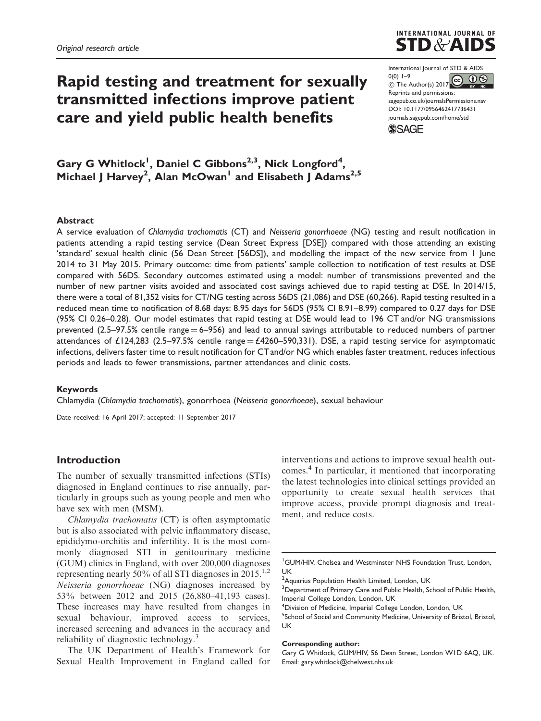# Rapid testing and treatment for sexually transmitted infections improve patient care and yield public health benefits



International Journal of STD & AIDS 0(0) 1–9  $\circledcirc$  The Author(s) 2017 Reprints and permissions: [sagepub.co.uk/journalsPermissions.nav](http://uk.sagepub.com/en-gb/journals-permissions) [DOI: 10.1177/0956462417736431](http://dx.doi.org/10.1177/0956462417736431) <journals.sagepub.com/home/std>**SSAGE** 

Gary G Whitlock<sup>1</sup>, Daniel C Gibbons<sup>2,3</sup>, Nick Longford<sup>4</sup>, Michael J Harvey<sup>2</sup>, Alan McOwan<sup>1</sup> and Elisabeth J Adams<sup>2,5</sup>

### Abstract

A service evaluation of Chlamydia trachomatis (CT) and Neisseria gonorrhoeae (NG) testing and result notification in patients attending a rapid testing service (Dean Street Express [DSE]) compared with those attending an existing 'standard' sexual health clinic (56 Dean Street [56DS]), and modelling the impact of the new service from 1 June 2014 to 31 May 2015. Primary outcome: time from patients' sample collection to notification of test results at DSE compared with 56DS. Secondary outcomes estimated using a model: number of transmissions prevented and the number of new partner visits avoided and associated cost savings achieved due to rapid testing at DSE. In 2014/15, there were a total of 81,352 visits for CT/NG testing across 56DS (21,086) and DSE (60,266). Rapid testing resulted in a reduced mean time to notification of 8.68 days: 8.95 days for 56DS (95% CI 8.91–8.99) compared to 0.27 days for DSE (95% CI 0.26–0.28). Our model estimates that rapid testing at DSE would lead to 196 CT and/or NG transmissions prevented (2.5–97.5% centile range  $= 6-956$ ) and lead to annual savings attributable to reduced numbers of partner attendances of £124,283 (2.5–97.5% centile range = £4260–590,331). DSE, a rapid testing service for asymptomatic infections, delivers faster time to result notification for CT and/or NG which enables faster treatment, reduces infectious periods and leads to fewer transmissions, partner attendances and clinic costs.

#### Keywords

Chlamydia (Chlamydia trachomatis), gonorrhoea (Neisseria gonorrhoeae), sexual behaviour

Date received: 16 April 2017; accepted: 11 September 2017

# Introduction

The number of sexually transmitted infections (STIs) diagnosed in England continues to rise annually, particularly in groups such as young people and men who have sex with men (MSM).

Chlamydia trachomatis (CT) is often asymptomatic but is also associated with pelvic inflammatory disease, epididymo-orchitis and infertility. It is the most commonly diagnosed STI in genitourinary medicine (GUM) clinics in England, with over 200,000 diagnoses representing nearly 50% of all STI diagnoses in 2015.<sup>[1,2](#page-6-0)</sup> Neisseria gonorrhoeae (NG) diagnoses increased by 53% between 2012 and 2015 (26,880–41,193 cases). These increases may have resulted from changes in sexual behaviour, improved access to services, increased screening and advances in the accuracy and reliability of diagnostic technology.<sup>[3](#page-6-0)</sup>

The UK Department of Health's Framework for Sexual Health Improvement in England called for interventions and actions to improve sexual health outcomes.[4](#page-6-0) In particular, it mentioned that incorporating the latest technologies into clinical settings provided an opportunity to create sexual health services that improve access, provide prompt diagnosis and treatment, and reduce costs.

1 GUM/HIV, Chelsea and Westminster NHS Foundation Trust, London, UK

#### Corresponding author:

Gary G Whitlock, GUM/HIV, 56 Dean Street, London W1D 6AQ, UK. Email: [gary.whitlock@chelwest.nhs.uk](mailto:gary.whitlock@chelwest.nhs.uk)

<sup>&</sup>lt;sup>2</sup> Aquarius Population Health Limited, London, UK

<sup>&</sup>lt;sup>3</sup>Department of Primary Care and Public Health, School of Public Health, Imperial College London, London, UK

<sup>4</sup> Division of Medicine, Imperial College London, London, UK

<sup>&</sup>lt;sup>5</sup>School of Social and Community Medicine, University of Bristol, Bristol, UK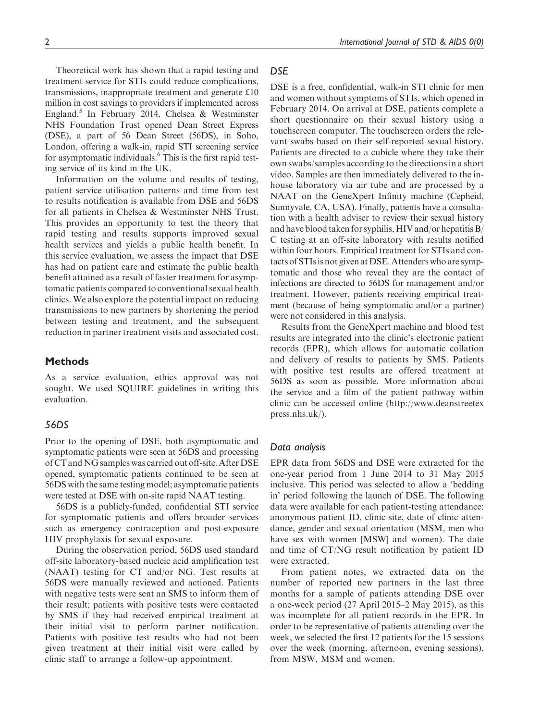Theoretical work has shown that a rapid testing and treatment service for STIs could reduce complications, transmissions, inappropriate treatment and generate £10 million in cost savings to providers if implemented across England[.5](#page-6-0) In February 2014, Chelsea & Westminster NHS Foundation Trust opened Dean Street Express (DSE), a part of 56 Dean Street (56DS), in Soho, London, offering a walk-in, rapid STI screening service for asymptomatic individuals.<sup>6</sup> This is the first rapid testing service of its kind in the UK.

Information on the volume and results of testing, patient service utilisation patterns and time from test to results notification is available from DSE and 56DS for all patients in Chelsea & Westminster NHS Trust. This provides an opportunity to test the theory that rapid testing and results supports improved sexual health services and yields a public health benefit. In this service evaluation, we assess the impact that DSE has had on patient care and estimate the public health benefit attained as a result of faster treatment for asymptomatic patients compared to conventional sexual health clinics. We also explore the potential impact on reducing transmissions to new partners by shortening the period between testing and treatment, and the subsequent reduction in partner treatment visits and associated cost.

# **Methods**

As a service evaluation, ethics approval was not sought. We used SQUIRE guidelines in writing this evaluation.

# 56DS

Prior to the opening of DSE, both asymptomatic and symptomatic patients were seen at 56DS and processing of CT and NG samples was carried out off-site. After DSE opened, symptomatic patients continued to be seen at 56DS with the same testing model; asymptomatic patients were tested at DSE with on-site rapid NAAT testing.

56DS is a publicly-funded, confidential STI service for symptomatic patients and offers broader services such as emergency contraception and post-exposure HIV prophylaxis for sexual exposure.

During the observation period, 56DS used standard off-site laboratory-based nucleic acid amplification test (NAAT) testing for CT and/or NG. Test results at 56DS were manually reviewed and actioned. Patients with negative tests were sent an SMS to inform them of their result; patients with positive tests were contacted by SMS if they had received empirical treatment at their initial visit to perform partner notification. Patients with positive test results who had not been given treatment at their initial visit were called by clinic staff to arrange a follow-up appointment.

# **DSE**

DSE is a free, confidential, walk-in STI clinic for men and women without symptoms of STIs, which opened in February 2014. On arrival at DSE, patients complete a short questionnaire on their sexual history using a touchscreen computer. The touchscreen orders the relevant swabs based on their self-reported sexual history. Patients are directed to a cubicle where they take their own swabs/samples according to the directions in a short video. Samples are then immediately delivered to the inhouse laboratory via air tube and are processed by a NAAT on the GeneXpert Infinity machine (Cepheid, Sunnyvale, CA, USA). Finally, patients have a consultation with a health adviser to review their sexual history and have blood taken for syphilis, HIV and/or hepatitis B/ C testing at an off-site laboratory with results notified within four hours. Empirical treatment for STIs and contacts of STIsis not given at DSE. Attenders who are symptomatic and those who reveal they are the contact of infections are directed to 56DS for management and/or treatment. However, patients receiving empirical treatment (because of being symptomatic and/or a partner) were not considered in this analysis.

Results from the GeneXpert machine and blood test results are integrated into the clinic's electronic patient records (EPR), which allows for automatic collation and delivery of results to patients by SMS. Patients with positive test results are offered treatment at 56DS as soon as possible. More information about the service and a film of the patient pathway within clinic can be accessed online ([http://www.deanstreetex](http://www.deanstreetexpress.nhs.uk) [press.nhs.uk](http://www.deanstreetexpress.nhs.uk)/).

#### Data analysis

EPR data from 56DS and DSE were extracted for the one-year period from 1 June 2014 to 31 May 2015 inclusive. This period was selected to allow a 'bedding in' period following the launch of DSE. The following data were available for each patient-testing attendance: anonymous patient ID, clinic site, date of clinic attendance, gender and sexual orientation (MSM, men who have sex with women [MSW] and women). The date and time of CT/NG result notification by patient ID were extracted.

From patient notes, we extracted data on the number of reported new partners in the last three months for a sample of patients attending DSE over a one-week period (27 April 2015–2 May 2015), as this was incomplete for all patient records in the EPR. In order to be representative of patients attending over the week, we selected the first 12 patients for the 15 sessions over the week (morning, afternoon, evening sessions), from MSW, MSM and women.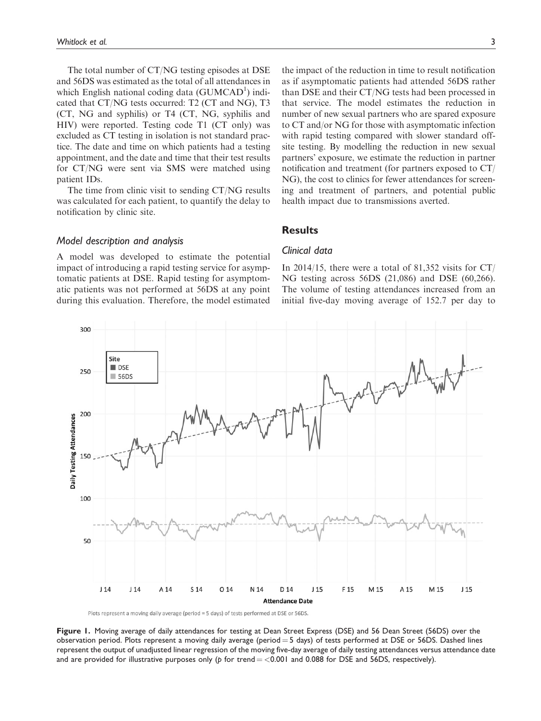<span id="page-2-0"></span>The total number of CT/NG testing episodes at DSE and 56DS was estimated as the total of all attendances in which English national coding data (GUMCAD<sup>1</sup>) indicated that CT/NG tests occurred: T2 (CT and NG), T3 (CT, NG and syphilis) or T4 (CT, NG, syphilis and HIV) were reported. Testing code T1 (CT only) was excluded as CT testing in isolation is not standard practice. The date and time on which patients had a testing appointment, and the date and time that their test results for CT/NG were sent via SMS were matched using patient IDs.

The time from clinic visit to sending CT/NG results was calculated for each patient, to quantify the delay to notification by clinic site.

Model description and analysis

A model was developed to estimate the potential impact of introducing a rapid testing service for asymptomatic patients at DSE. Rapid testing for asymptomatic patients was not performed at 56DS at any point during this evaluation. Therefore, the model estimated

the impact of the reduction in time to result notification as if asymptomatic patients had attended 56DS rather than DSE and their CT/NG tests had been processed in that service. The model estimates the reduction in number of new sexual partners who are spared exposure to CT and/or NG for those with asymptomatic infection with rapid testing compared with slower standard offsite testing. By modelling the reduction in new sexual partners' exposure, we estimate the reduction in partner notification and treatment (for partners exposed to CT/ NG), the cost to clinics for fewer attendances for screening and treatment of partners, and potential public health impact due to transmissions averted.

# **Results**

# Clinical data

In 2014/15, there were a total of 81,352 visits for  $CT/$ NG testing across 56DS (21,086) and DSE (60,266). The volume of testing attendances increased from an initial five-day moving average of 152.7 per day to



Plots represent a moving daily average (period = 5 days) of tests performed at DSE or 56DS.

Figure 1. Moving average of daily attendances for testing at Dean Street Express (DSE) and 56 Dean Street (56DS) over the observation period. Plots represent a moving daily average (period  $=$  5 days) of tests performed at DSE or 56DS. Dashed lines represent the output of unadjusted linear regression of the moving five-day average of daily testing attendances versus attendance date and are provided for illustrative purposes only (p for trend  $=$  <0.001 and 0.088 for DSE and 56DS, respectively).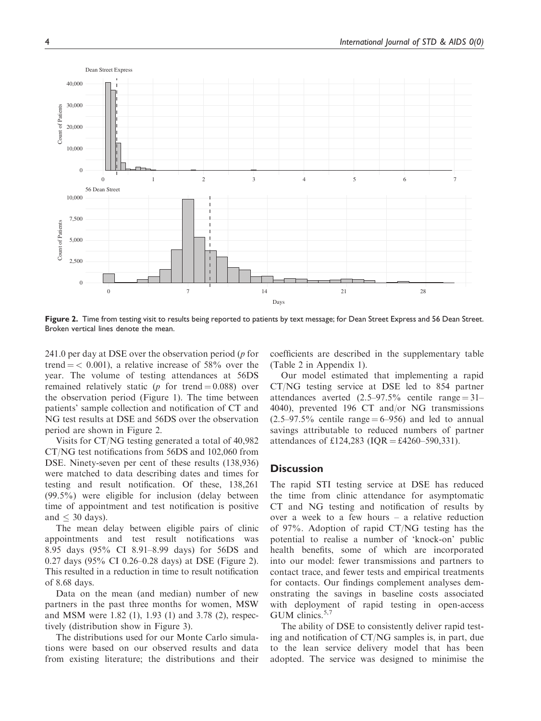

Figure 2. Time from testing visit to results being reported to patients by text message; for Dean Street Express and 56 Dean Street. Broken vertical lines denote the mean.

241.0 per day at DSE over the observation period  $(p \text{ for }$ trend  $=$  < 0.001), a relative increase of 58% over the year. The volume of testing attendances at 56DS remained relatively static (p for trend  $= 0.088$ ) over the observation period ([Figure 1](#page-2-0)). The time between patients' sample collection and notification of CT and NG test results at DSE and 56DS over the observation period are shown in Figure 2.

Visits for CT/NG testing generated a total of 40,982 CT/NG test notifications from 56DS and 102,060 from DSE. Ninety-seven per cent of these results (138,936) were matched to data describing dates and times for testing and result notification. Of these, 138,261 (99.5%) were eligible for inclusion (delay between time of appointment and test notification is positive and  $\leq 30$  days).

The mean delay between eligible pairs of clinic appointments and test result notifications was 8.95 days (95% CI 8.91–8.99 days) for 56DS and 0.27 days (95% CI 0.26–0.28 days) at DSE (Figure 2). This resulted in a reduction in time to result notification of 8.68 days.

Data on the mean (and median) number of new partners in the past three months for women, MSW and MSM were 1.82 (1), 1.93 (1) and 3.78 (2), respectively (distribution show in [Figure 3](#page-4-0)).

The distributions used for our Monte Carlo simulations were based on our observed results and data from existing literature; the distributions and their coefficients are described in the supplementary table ([Table 2](#page-8-0) in Appendix 1).

Our model estimated that implementing a rapid CT/NG testing service at DSE led to 854 partner attendances averted  $(2.5-97.5\%$  centile range = 31– 4040), prevented 196 CT and/or NG transmissions  $(2.5-97.5\%$  centile range  $= 6-956$ ) and led to annual savings attributable to reduced numbers of partner attendances of £124,283 (IOR = £4260–590,331).

## **Discussion**

The rapid STI testing service at DSE has reduced the time from clinic attendance for asymptomatic CT and NG testing and notification of results by over a week to a few hours – a relative reduction of 97%. Adoption of rapid CT/NG testing has the potential to realise a number of 'knock-on' public health benefits, some of which are incorporated into our model: fewer transmissions and partners to contact trace, and fewer tests and empirical treatments for contacts. Our findings complement analyses demonstrating the savings in baseline costs associated with deployment of rapid testing in open-access GUM clinics. $5,7$ 

The ability of DSE to consistently deliver rapid testing and notification of CT/NG samples is, in part, due to the lean service delivery model that has been adopted. The service was designed to minimise the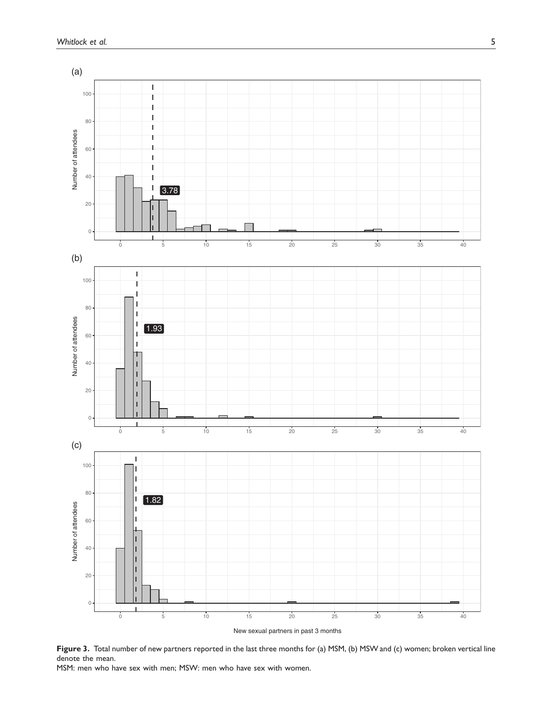<span id="page-4-0"></span>

New sexual partners in past 3 months

Figure 3. Total number of new partners reported in the last three months for (a) MSM, (b) MSW and (c) women; broken vertical line denote the mean.

MSM: men who have sex with men; MSW: men who have sex with women.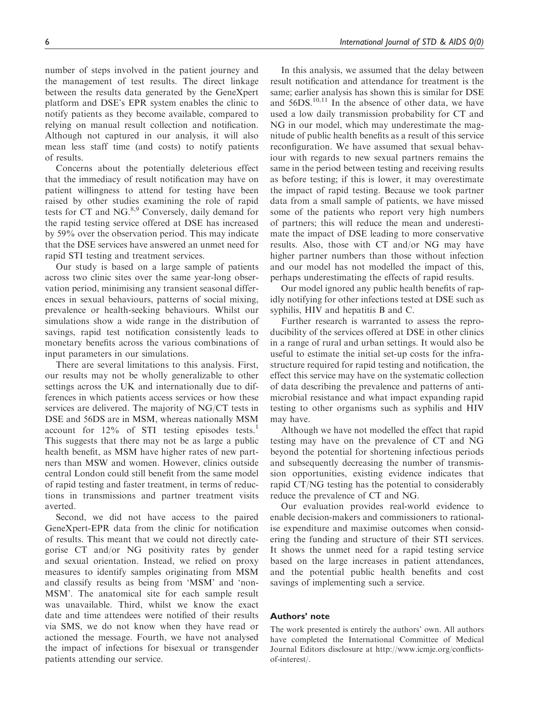number of steps involved in the patient journey and the management of test results. The direct linkage between the results data generated by the GeneXpert platform and DSE's EPR system enables the clinic to notify patients as they become available, compared to relying on manual result collection and notification. Although not captured in our analysis, it will also mean less staff time (and costs) to notify patients of results.

Concerns about the potentially deleterious effect that the immediacy of result notification may have on patient willingness to attend for testing have been raised by other studies examining the role of rapid tests for CT and NG.<sup>[8,9](#page-6-0)</sup> Conversely, daily demand for the rapid testing service offered at DSE has increased by 59% over the observation period. This may indicate that the DSE services have answered an unmet need for rapid STI testing and treatment services.

Our study is based on a large sample of patients across two clinic sites over the same year-long observation period, minimising any transient seasonal differences in sexual behaviours, patterns of social mixing, prevalence or health-seeking behaviours. Whilst our simulations show a wide range in the distribution of savings, rapid test notification consistently leads to monetary benefits across the various combinations of input parameters in our simulations.

There are several limitations to this analysis. First, our results may not be wholly generalizable to other settings across the UK and internationally due to differences in which patients access services or how these services are delivered. The majority of NG/CT tests in DSE and 56DS are in MSM, whereas nationally MSM account for  $12\%$  $12\%$  of STI testing episodes tests.<sup>1</sup> This suggests that there may not be as large a public health benefit, as MSM have higher rates of new partners than MSW and women. However, clinics outside central London could still benefit from the same model of rapid testing and faster treatment, in terms of reductions in transmissions and partner treatment visits averted.

Second, we did not have access to the paired GeneXpert-EPR data from the clinic for notification of results. This meant that we could not directly categorise CT and/or NG positivity rates by gender and sexual orientation. Instead, we relied on proxy measures to identify samples originating from MSM and classify results as being from 'MSM' and 'non-MSM'. The anatomical site for each sample result was unavailable. Third, whilst we know the exact date and time attendees were notified of their results via SMS, we do not know when they have read or actioned the message. Fourth, we have not analysed the impact of infections for bisexual or transgender patients attending our service.

In this analysis, we assumed that the delay between result notification and attendance for treatment is the same; earlier analysis has shown this is similar for DSE and  $56DS$ <sup>[10,11](#page-6-0)</sup> In the absence of other data, we have used a low daily transmission probability for CT and NG in our model, which may underestimate the magnitude of public health benefits as a result of this service reconfiguration. We have assumed that sexual behaviour with regards to new sexual partners remains the same in the period between testing and receiving results as before testing; if this is lower, it may overestimate the impact of rapid testing. Because we took partner data from a small sample of patients, we have missed some of the patients who report very high numbers of partners; this will reduce the mean and underestimate the impact of DSE leading to more conservative results. Also, those with CT and/or NG may have higher partner numbers than those without infection and our model has not modelled the impact of this, perhaps underestimating the effects of rapid results.

Our model ignored any public health benefits of rapidly notifying for other infections tested at DSE such as syphilis, HIV and hepatitis B and C.

Further research is warranted to assess the reproducibility of the services offered at DSE in other clinics in a range of rural and urban settings. It would also be useful to estimate the initial set-up costs for the infrastructure required for rapid testing and notification, the effect this service may have on the systematic collection of data describing the prevalence and patterns of antimicrobial resistance and what impact expanding rapid testing to other organisms such as syphilis and HIV may have.

Although we have not modelled the effect that rapid testing may have on the prevalence of CT and NG beyond the potential for shortening infectious periods and subsequently decreasing the number of transmission opportunities, existing evidence indicates that rapid CT/NG testing has the potential to considerably reduce the prevalence of CT and NG.

Our evaluation provides real-world evidence to enable decision-makers and commissioners to rationalise expenditure and maximise outcomes when considering the funding and structure of their STI services. It shows the unmet need for a rapid testing service based on the large increases in patient attendances, and the potential public health benefits and cost savings of implementing such a service.

#### Authors' note

The work presented is entirely the authors' own. All authors have completed the International Committee of Medical Journal Editors disclosure at [http://www.icmje.org/conflicts](http://www.icmje.org/conflicts-of-interest/)[of-interest/.](http://www.icmje.org/conflicts-of-interest/)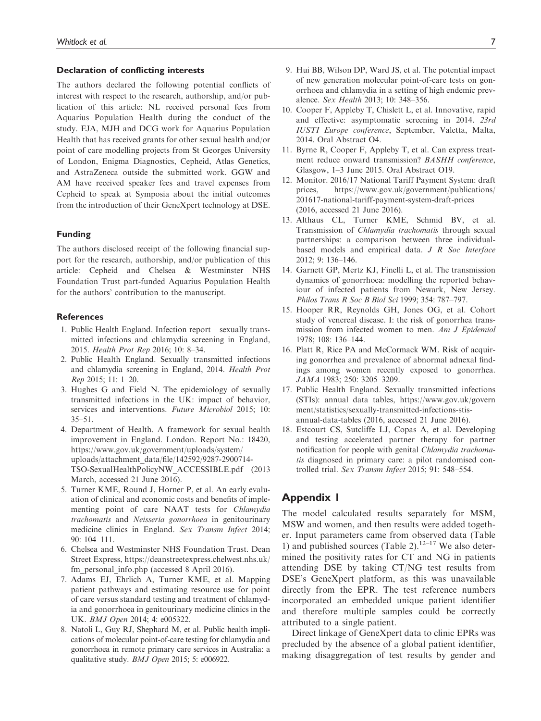#### <span id="page-6-0"></span>Declaration of conflicting interests

The authors declared the following potential conflicts of interest with respect to the research, authorship, and/or publication of this article: NL received personal fees from Aquarius Population Health during the conduct of the study. EJA, MJH and DCG work for Aquarius Population Health that has received grants for other sexual health and/or point of care modelling projects from St Georges University of London, Enigma Diagnostics, Cepheid, Atlas Genetics, and AstraZeneca outside the submitted work. GGW and AM have received speaker fees and travel expenses from Cepheid to speak at Symposia about the initial outcomes from the introduction of their GeneXpert technology at DSE.

#### Funding

The authors disclosed receipt of the following financial support for the research, authorship, and/or publication of this article: Cepheid and Chelsea & Westminster NHS Foundation Trust part-funded Aquarius Population Health for the authors' contribution to the manuscript.

### **References**

- 1. Public Health England. Infection report sexually transmitted infections and chlamydia screening in England, 2015. Health Prot Rep 2016; 10: 8–34.
- 2. Public Health England. Sexually transmitted infections and chlamydia screening in England, 2014. Health Prot Rep 2015; 11: 1–20.
- 3. Hughes G and Field N. The epidemiology of sexually transmitted infections in the UK: impact of behavior, services and interventions. Future Microbiol 2015; 10: 35–51.
- 4. Department of Health. A framework for sexual health improvement in England. London. Report No.: 18420, [https://www.gov.uk/government/uploads/system/](https://www.gov.uk/government/uploads/system/uploads/attachment_data/file/142592/9287-2900714-TSO-SexualHealthPolicyNW_ACCESSIBLE.pdf) [uploads/attachment\\_data/file/142592/9287-2900714-](https://www.gov.uk/government/uploads/system/uploads/attachment_data/file/142592/9287-2900714-TSO-SexualHealthPolicyNW_ACCESSIBLE.pdf) [TSO-SexualHealthPolicyNW\\_ACCESSIBLE.pdf](https://www.gov.uk/government/uploads/system/uploads/attachment_data/file/142592/9287-2900714-TSO-SexualHealthPolicyNW_ACCESSIBLE.pdf) (2013 March, accessed 21 June 2016).
- 5. Turner KME, Round J, Horner P, et al. An early evaluation of clinical and economic costs and benefits of implementing point of care NAAT tests for Chlamydia trachomatis and Neisseria gonorrhoea in genitourinary medicine clinics in England. Sex Transm Infect 2014; 90: 104–111.
- 6. Chelsea and Westminster NHS Foundation Trust. Dean Street Express, [https://deanstreetexpress.chelwest.nhs.uk/](https://deanstreetexpress.chelwest.nhs.uk/fm_personal_info.php) fm personal info.php (accessed 8 April 2016).
- 7. Adams EJ, Ehrlich A, Turner KME, et al. Mapping patient pathways and estimating resource use for point of care versus standard testing and treatment of chlamydia and gonorrhoea in genitourinary medicine clinics in the UK. BMJ Open 2014; 4: e005322.
- 8. Natoli L, Guy RJ, Shephard M, et al. Public health implications of molecular point-of-care testing for chlamydia and gonorrhoea in remote primary care services in Australia: a qualitative study. BMJ Open 2015; 5: e006922.
- 9. Hui BB, Wilson DP, Ward JS, et al. The potential impact of new generation molecular point-of-care tests on gonorrhoea and chlamydia in a setting of high endemic prevalence. Sex Health 2013; 10: 348–356.
- 10. Cooper F, Appleby T, Chislett L, et al. Innovative, rapid and effective: asymptomatic screening in 2014. 23rd IUSTI Europe conference, September, Valetta, Malta, 2014. Oral Abstract O4.
- 11. Byrne R, Cooper F, Appleby T, et al. Can express treatment reduce onward transmission? BASHH conference, Glasgow, 1–3 June 2015. Oral Abstract O19.
- 12. Monitor. 2016/17 National Tariff Payment System: draft prices, [https://www.gov.uk/government/publications/](https://www.gov.uk/government/publications/201617-national-tariff-payment-system-draft-prices) [201617-national-tariff-payment-system-draft-prices](https://www.gov.uk/government/publications/201617-national-tariff-payment-system-draft-prices) (2016, accessed 21 June 2016).
- 13. Althaus CL, Turner KME, Schmid BV, et al. Transmission of Chlamydia trachomatis through sexual partnerships: a comparison between three individualbased models and empirical data. J R Soc Interface 2012; 9: 136–146.
- 14. Garnett GP, Mertz KJ, Finelli L, et al. The transmission dynamics of gonorrhoea: modelling the reported behaviour of infected patients from Newark, New Jersey. Philos Trans R Soc B Biol Sci 1999; 354: 787–797.
- 15. Hooper RR, Reynolds GH, Jones OG, et al. Cohort study of venereal disease. I: the risk of gonorrhea transmission from infected women to men. Am J Epidemiol 1978; 108: 136–144.
- 16. Platt R, Rice PA and McCormack WM. Risk of acquiring gonorrhea and prevalence of abnormal adnexal findings among women recently exposed to gonorrhea. JAMA 1983; 250: 3205–3209.
- 17. Public Health England. Sexually transmitted infections (STIs): annual data tables, [https://www.gov.uk/govern](https://www.gov.uk/government/statistics/sexually-transmitted-infections-stis-annual-data-tables) [ment/statistics/sexually-transmitted-infections-stis](https://www.gov.uk/government/statistics/sexually-transmitted-infections-stis-annual-data-tables)[annual-data-tables](https://www.gov.uk/government/statistics/sexually-transmitted-infections-stis-annual-data-tables) (2016, accessed 21 June 2016).
- 18. Estcourt CS, Sutcliffe LJ, Copas A, et al. Developing and testing accelerated partner therapy for partner notification for people with genital Chlamydia trachomatis diagnosed in primary care: a pilot randomised controlled trial. Sex Transm Infect 2015; 91: 548–554.

# Appendix 1

The model calculated results separately for MSM, MSW and women, and then results were added together. Input parameters came from observed data (Table 1) and published sources [\(Table 2](#page-7-0)). $12-17$  We also determined the positivity rates for CT and NG in patients attending DSE by taking CT/NG test results from DSE's GeneXpert platform, as this was unavailable directly from the EPR. The test reference numbers incorporated an embedded unique patient identifier and therefore multiple samples could be correctly attributed to a single patient.

Direct linkage of GeneXpert data to clinic EPRs was precluded by the absence of a global patient identifier, making disaggregation of test results by gender and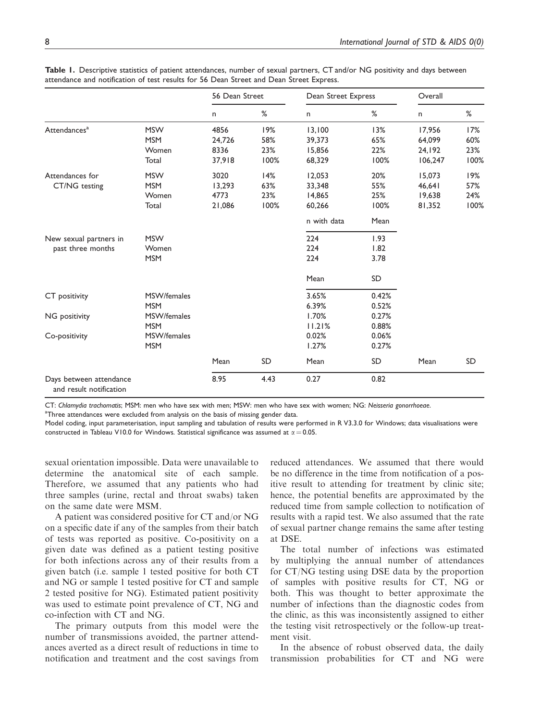|                                                    |             | 56 Dean Street |      | Dean Street Express |           | Overall |      |
|----------------------------------------------------|-------------|----------------|------|---------------------|-----------|---------|------|
|                                                    |             | n              | %    | n                   | %         | n       | %    |
| Attendances <sup>a</sup>                           | <b>MSW</b>  | 4856           | 19%  | 13,100              | 13%       | 17,956  | 17%  |
|                                                    | <b>MSM</b>  | 24,726         | 58%  | 39,373              | 65%       | 64,099  | 60%  |
|                                                    | Women       | 8336           | 23%  | 15,856              | 22%       | 24,192  | 23%  |
|                                                    | Total       | 37,918         | 100% | 68,329              | 100%      | 106,247 | 100% |
| Attendances for<br>CT/NG testing                   | <b>MSW</b>  | 3020           | 14%  | 12,053              | 20%       | 15,073  | 19%  |
|                                                    | <b>MSM</b>  | 13,293         | 63%  | 33,348              | 55%       | 46,641  | 57%  |
|                                                    | Women       | 4773           | 23%  | 14,865              | 25%       | 19,638  | 24%  |
|                                                    | Total       | 21,086         | 100% | 60,266              | 100%      | 81,352  | 100% |
|                                                    |             |                |      | n with data         | Mean      |         |      |
| New sexual partners in                             | <b>MSW</b>  |                |      | 224                 | 1.93      |         |      |
| past three months                                  | Women       |                |      | 224                 | 1.82      |         |      |
|                                                    | <b>MSM</b>  |                |      | 224                 | 3.78      |         |      |
|                                                    |             |                |      | Mean                | SD        |         |      |
| CT positivity                                      | MSW/females |                |      | 3.65%               | 0.42%     |         |      |
|                                                    | <b>MSM</b>  |                |      | 6.39%               | 0.52%     |         |      |
| NG positivity                                      | MSW/females |                |      | 1.70%               | 0.27%     |         |      |
|                                                    | <b>MSM</b>  |                |      | 11.21%              | 0.88%     |         |      |
| Co-positivity                                      | MSW/females |                |      | 0.02%               | 0.06%     |         |      |
|                                                    | <b>MSM</b>  |                |      | 1.27%               | 0.27%     |         |      |
|                                                    |             | Mean           | SD   | Mean                | <b>SD</b> | Mean    | SD   |
| Days between attendance<br>and result notification |             | 8.95           | 4.43 | 0.27                | 0.82      |         |      |

<span id="page-7-0"></span>Table 1. Descriptive statistics of patient attendances, number of sexual partners, CT and/or NG positivity and days between attendance and notification of test results for 56 Dean Street and Dean Street Express.

CT: Chlamydia trachomatis; MSM: men who have sex with men; MSW: men who have sex with women; NG: Neisseria gonorrhoeae.

<sup>a</sup>Three attendances were excluded from analysis on the basis of missing gender data.

Model coding, input parameterisation, input sampling and tabulation of results were performed in R V3.3.0 for Windows; data visualisations were constructed in Tableau V10.0 for Windows. Statistical significance was assumed at  $\alpha = 0.05$ .

sexual orientation impossible. Data were unavailable to determine the anatomical site of each sample. Therefore, we assumed that any patients who had three samples (urine, rectal and throat swabs) taken on the same date were MSM.

A patient was considered positive for CT and/or NG on a specific date if any of the samples from their batch of tests was reported as positive. Co-positivity on a given date was defined as a patient testing positive for both infections across any of their results from a given batch (i.e. sample 1 tested positive for both CT and NG or sample 1 tested positive for CT and sample 2 tested positive for NG). Estimated patient positivity was used to estimate point prevalence of CT, NG and co-infection with CT and NG.

The primary outputs from this model were the number of transmissions avoided, the partner attendances averted as a direct result of reductions in time to notification and treatment and the cost savings from reduced attendances. We assumed that there would be no difference in the time from notification of a positive result to attending for treatment by clinic site; hence, the potential benefits are approximated by the reduced time from sample collection to notification of results with a rapid test. We also assumed that the rate of sexual partner change remains the same after testing at DSE.

The total number of infections was estimated by multiplying the annual number of attendances for CT/NG testing using DSE data by the proportion of samples with positive results for CT, NG or both. This was thought to better approximate the number of infections than the diagnostic codes from the clinic, as this was inconsistently assigned to either the testing visit retrospectively or the follow-up treatment visit.

In the absence of robust observed data, the daily transmission probabilities for CT and NG were